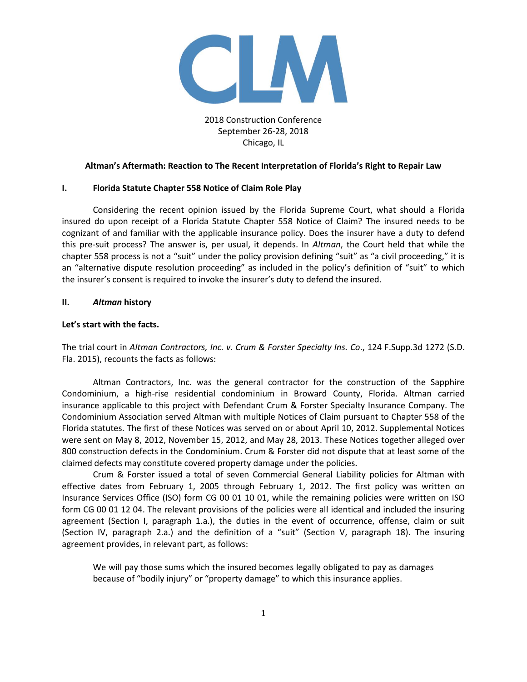

2018 Construction Conference September 26-28, 2018 Chicago, IL

# **Altman's Aftermath: Reaction to The Recent Interpretation of Florida's Right to Repair Law**

# **I. Florida Statute Chapter 558 Notice of Claim Role Play**

Considering the recent opinion issued by the Florida Supreme Court, what should a Florida insured do upon receipt of a Florida Statute Chapter 558 Notice of Claim? The insured needs to be cognizant of and familiar with the applicable insurance policy. Does the insurer have a duty to defend this pre-suit process? The answer is, per usual, it depends. In *Altman*, the Court held that while the chapter 558 process is not a "suit" under the policy provision defining "suit" as "a civil proceeding," it is an "alternative dispute resolution proceeding" as included in the policy's definition of "suit" to which the insurer's consent is required to invoke the insurer's duty to defend the insured.

# **II.** *Altman* **history**

# **Let's start with the facts.**

The trial court in *Altman Contractors, Inc. v. Crum & Forster Specialty Ins. Co*., 124 F.Supp.3d 1272 (S.D. Fla. 2015), recounts the facts as follows:

Altman Contractors, Inc. was the general contractor for the construction of the Sapphire Condominium, a high-rise residential condominium in Broward County, Florida. Altman carried insurance applicable to this project with Defendant Crum & Forster Specialty Insurance Company. The Condominium Association served Altman with multiple Notices of Claim pursuant to Chapter 558 of the Florida statutes. The first of these Notices was served on or about April 10, 2012. Supplemental Notices were sent on May 8, 2012, November 15, 2012, and May 28, 2013. These Notices together alleged over 800 construction defects in the Condominium. Crum & Forster did not dispute that at least some of the claimed defects may constitute covered property damage under the policies.

Crum & Forster issued a total of seven Commercial General Liability policies for Altman with effective dates from February 1, 2005 through February 1, 2012. The first policy was written on Insurance Services Office (ISO) form CG 00 01 10 01, while the remaining policies were written on ISO form CG 00 01 12 04. The relevant provisions of the policies were all identical and included the insuring agreement (Section I, paragraph 1.a.), the duties in the event of occurrence, offense, claim or suit (Section IV, paragraph 2.a.) and the definition of a "suit" (Section V, paragraph 18). The insuring agreement provides, in relevant part, as follows:

We will pay those sums which the insured becomes legally obligated to pay as damages because of "bodily injury" or "property damage" to which this insurance applies.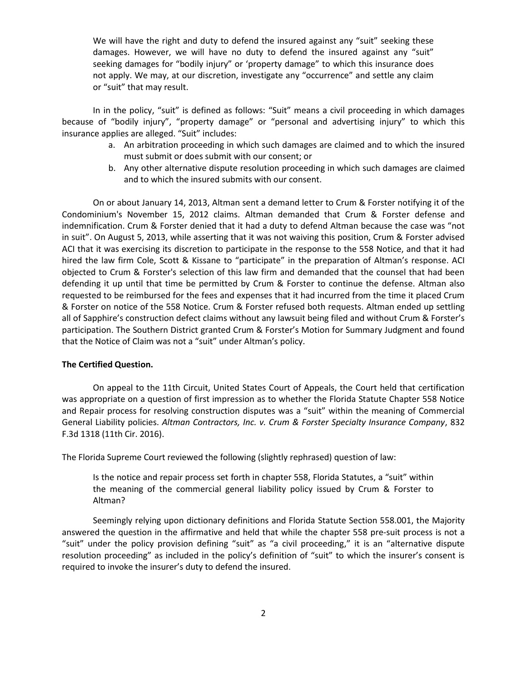We will have the right and duty to defend the insured against any "suit" seeking these damages. However, we will have no duty to defend the insured against any "suit" seeking damages for "bodily injury" or 'property damage" to which this insurance does not apply. We may, at our discretion, investigate any "occurrence" and settle any claim or "suit" that may result.

In in the policy, "suit" is defined as follows: "Suit" means a civil proceeding in which damages because of "bodily injury", "property damage" or "personal and advertising injury" to which this insurance applies are alleged. "Suit" includes:

- a. An arbitration proceeding in which such damages are claimed and to which the insured must submit or does submit with our consent; or
- b. Any other alternative dispute resolution proceeding in which such damages are claimed and to which the insured submits with our consent.

On or about January 14, 2013, Altman sent a demand letter to Crum & Forster notifying it of the Condominium's November 15, 2012 claims. Altman demanded that Crum & Forster defense and indemnification. Crum & Forster denied that it had a duty to defend Altman because the case was "not in suit". On August 5, 2013, while asserting that it was not waiving this position, Crum & Forster advised ACI that it was exercising its discretion to participate in the response to the 558 Notice, and that it had hired the law firm Cole, Scott & Kissane to "participate" in the preparation of Altman's response. ACI objected to Crum & Forster's selection of this law firm and demanded that the counsel that had been defending it up until that time be permitted by Crum & Forster to continue the defense. Altman also requested to be reimbursed for the fees and expenses that it had incurred from the time it placed Crum & Forster on notice of the 558 Notice. Crum & Forster refused both requests. Altman ended up settling all of Sapphire's construction defect claims without any lawsuit being filed and without Crum & Forster's participation. The Southern District granted Crum & Forster's Motion for Summary Judgment and found that the Notice of Claim was not a "suit" under Altman's policy.

## **The Certified Question.**

On appeal to the 11th Circuit, United States Court of Appeals, the Court held that certification was appropriate on a question of first impression as to whether the Florida Statute Chapter 558 Notice and Repair process for resolving construction disputes was a "suit" within the meaning of Commercial General Liability policies. *Altman Contractors, Inc. v. Crum & Forster Specialty Insurance Company*, 832 F.3d 1318 (11th Cir. 2016).

The Florida Supreme Court reviewed the following (slightly rephrased) question of law:

Is the notice and repair process set forth in chapter 558, Florida Statutes, a "suit" within the meaning of the commercial general liability policy issued by Crum & Forster to Altman?

Seemingly relying upon dictionary definitions and Florida Statute Section 558.001, the Majority answered the question in the affirmative and held that while the chapter 558 pre-suit process is not a "suit" under the policy provision defining "suit" as "a civil proceeding," it is an "alternative dispute resolution proceeding" as included in the policy's definition of "suit" to which the insurer's consent is required to invoke the insurer's duty to defend the insured.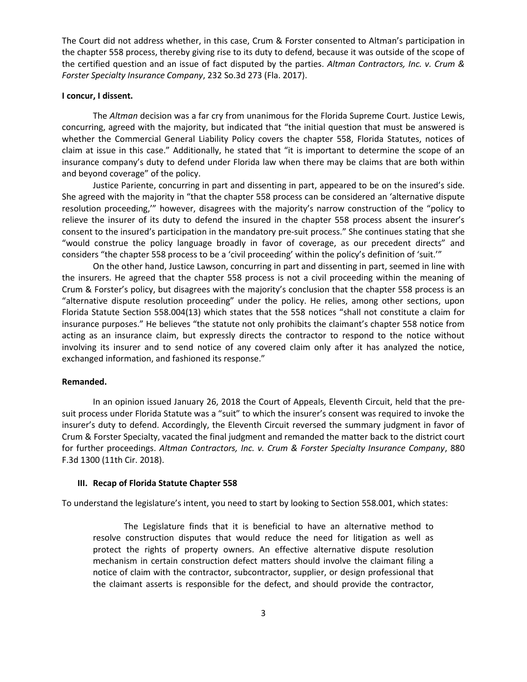The Court did not address whether, in this case, Crum & Forster consented to Altman's participation in the chapter 558 process, thereby giving rise to its duty to defend, because it was outside of the scope of the certified question and an issue of fact disputed by the parties. *Altman Contractors, Inc. v. Crum & Forster Specialty Insurance Company*, 232 So.3d 273 (Fla. 2017).

## **I concur, I dissent.**

The *Altman* decision was a far cry from unanimous for the Florida Supreme Court. Justice Lewis, concurring, agreed with the majority, but indicated that "the initial question that must be answered is whether the Commercial General Liability Policy covers the chapter 558, Florida Statutes, notices of claim at issue in this case." Additionally, he stated that "it is important to determine the scope of an insurance company's duty to defend under Florida law when there may be claims that are both within and beyond coverage" of the policy.

Justice Pariente, concurring in part and dissenting in part, appeared to be on the insured's side. She agreed with the majority in "that the chapter 558 process can be considered an 'alternative dispute resolution proceeding,'" however, disagrees with the majority's narrow construction of the "policy to relieve the insurer of its duty to defend the insured in the chapter 558 process absent the insurer's consent to the insured's participation in the mandatory pre-suit process." She continues stating that she "would construe the policy language broadly in favor of coverage, as our precedent directs" and considers "the chapter 558 process to be a 'civil proceeding' within the policy's definition of 'suit.'"

On the other hand, Justice Lawson, concurring in part and dissenting in part, seemed in line with the insurers. He agreed that the chapter 558 process is not a civil proceeding within the meaning of Crum & Forster's policy, but disagrees with the majority's conclusion that the chapter 558 process is an "alternative dispute resolution proceeding" under the policy. He relies, among other sections, upon Florida Statute Section 558.004(13) which states that the 558 notices "shall not constitute a claim for insurance purposes." He believes "the statute not only prohibits the claimant's chapter 558 notice from acting as an insurance claim, but expressly directs the contractor to respond to the notice without involving its insurer and to send notice of any covered claim only after it has analyzed the notice, exchanged information, and fashioned its response."

### **Remanded.**

In an opinion issued January 26, 2018 the Court of Appeals, Eleventh Circuit, held that the presuit process under Florida Statute was a "suit" to which the insurer's consent was required to invoke the insurer's duty to defend. Accordingly, the Eleventh Circuit reversed the summary judgment in favor of Crum & Forster Specialty, vacated the final judgment and remanded the matter back to the district court for further proceedings. *Altman Contractors, Inc. v. Crum & Forster Specialty Insurance Company*, 880 F.3d 1300 (11th Cir. 2018).

## **III. Recap of Florida Statute Chapter 558**

To understand the legislature's intent, you need to start by looking to Section 558.001, which states:

The Legislature finds that it is beneficial to have an alternative method to resolve construction disputes that would reduce the need for litigation as well as protect the rights of property owners. An effective alternative dispute resolution mechanism in certain construction defect matters should involve the claimant filing a notice of claim with the contractor, subcontractor, supplier, or design professional that the claimant asserts is responsible for the defect, and should provide the contractor,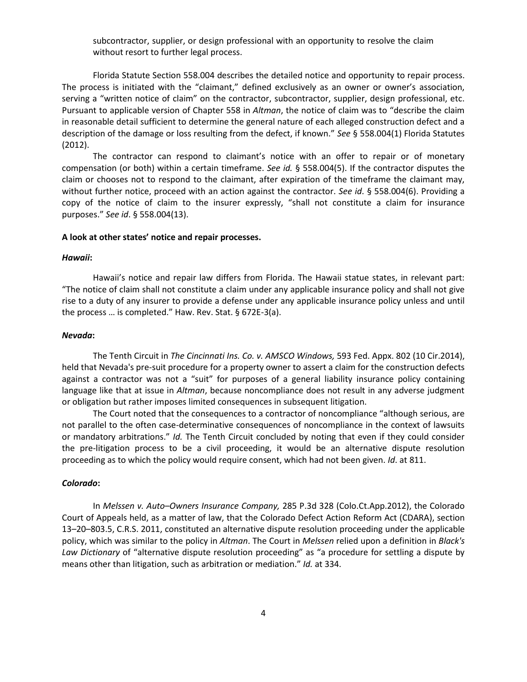subcontractor, supplier, or design professional with an opportunity to resolve the claim without resort to further legal process.

Florida Statute Section 558.004 describes the detailed notice and opportunity to repair process. The process is initiated with the "claimant," defined exclusively as an owner or owner's association, serving a "written notice of claim" on the contractor, subcontractor, supplier, design professional, etc. Pursuant to applicable version of Chapter 558 in *Altman*, the notice of claim was to "describe the claim in reasonable detail sufficient to determine the general nature of each alleged construction defect and a description of the damage or loss resulting from the defect, if known." *See* § 558.004(1) Florida Statutes (2012).

The contractor can respond to claimant's notice with an offer to repair or of monetary compensation (or both) within a certain timeframe. *See id.* § 558.004(5). If the contractor disputes the claim or chooses not to respond to the claimant, after expiration of the timeframe the claimant may, without further notice, proceed with an action against the contractor. *See id*. § 558.004(6). Providing a copy of the notice of claim to the insurer expressly, "shall not constitute a claim for insurance purposes." *See id*. § 558.004(13).

## **A look at other states' notice and repair processes.**

#### *Hawaii***:**

Hawaii's notice and repair law differs from Florida. The Hawaii statue states, in relevant part: "The notice of claim shall not constitute a claim under any applicable insurance policy and shall not give rise to a duty of any insurer to provide a defense under any applicable insurance policy unless and until the process … is completed." Haw. Rev. Stat. § 672E-3(a).

## *Nevada***:**

The Tenth Circuit in *The Cincinnati Ins. Co. v. AMSCO Windows,* 593 Fed. Appx. 802 (10 Cir.2014), held that Nevada's pre-suit procedure for a property owner to assert a claim for the construction defects against a contractor was not a "suit" for purposes of a general liability insurance policy containing language like that at issue in *Altman*, because noncompliance does not result in any adverse judgment or obligation but rather imposes limited consequences in subsequent litigation.

The Court noted that the consequences to a contractor of noncompliance "although serious, are not parallel to the often case-determinative consequences of noncompliance in the context of lawsuits or mandatory arbitrations." *Id.* The Tenth Circuit concluded by noting that even if they could consider the pre-litigation process to be a civil proceeding, it would be an alternative dispute resolution proceeding as to which the policy would require consent, which had not been given. *Id*. at 811.

# *Colorado***:**

In *Melssen v. Auto–Owners Insurance Company,* 285 P.3d 328 (Colo.Ct.App.2012), the Colorado Court of Appeals held, as a matter of law, that the Colorado Defect Action Reform Act (CDARA), section 13–20–803.5, C.R.S. 2011, constituted an alternative dispute resolution proceeding under the applicable policy, which was similar to the policy in *Altman*. The Court in *Melssen* relied upon a definition in *Black's Law Dictionary* of "alternative dispute resolution proceeding" as "a procedure for settling a dispute by means other than litigation, such as arbitration or mediation." *Id.* at 334.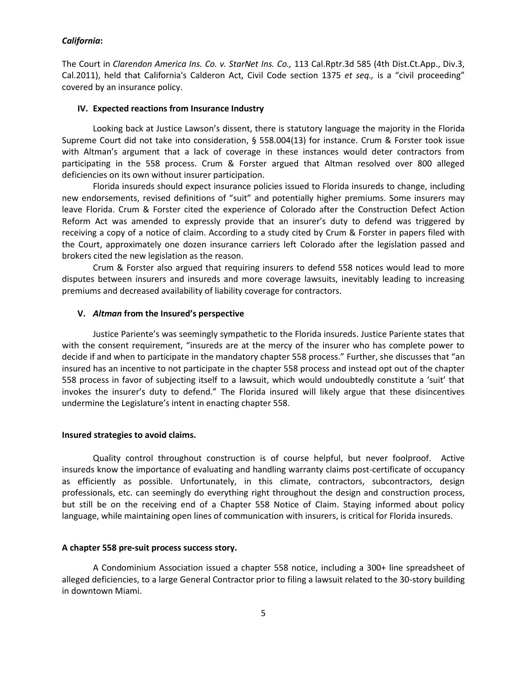## *California***:**

The Court in *Clarendon America Ins. Co. v. StarNet Ins. Co.,* 113 Cal.Rptr.3d 585 (4th Dist.Ct.App., Div.3, Cal.2011), held that California's Calderon Act, Civil Code section 1375 *et seq.,* is a "civil proceeding" covered by an insurance policy.

### **IV. Expected reactions from Insurance Industry**

Looking back at Justice Lawson's dissent, there is statutory language the majority in the Florida Supreme Court did not take into consideration, § 558.004(13) for instance. Crum & Forster took issue with Altman's argument that a lack of coverage in these instances would deter contractors from participating in the 558 process. Crum & Forster argued that Altman resolved over 800 alleged deficiencies on its own without insurer participation.

Florida insureds should expect insurance policies issued to Florida insureds to change, including new endorsements, revised definitions of "suit" and potentially higher premiums. Some insurers may leave Florida. Crum & Forster cited the experience of Colorado after the Construction Defect Action Reform Act was amended to expressly provide that an insurer's duty to defend was triggered by receiving a copy of a notice of claim. According to a study cited by Crum & Forster in papers filed with the Court, approximately one dozen insurance carriers left Colorado after the legislation passed and brokers cited the new legislation as the reason.

Crum & Forster also argued that requiring insurers to defend 558 notices would lead to more disputes between insurers and insureds and more coverage lawsuits, inevitably leading to increasing premiums and decreased availability of liability coverage for contractors.

### **V.** *Altman* **from the Insured's perspective**

Justice Pariente's was seemingly sympathetic to the Florida insureds. Justice Pariente states that with the consent requirement, "insureds are at the mercy of the insurer who has complete power to decide if and when to participate in the mandatory chapter 558 process." Further, she discusses that "an insured has an incentive to not participate in the chapter 558 process and instead opt out of the chapter 558 process in favor of subjecting itself to a lawsuit, which would undoubtedly constitute a 'suit' that invokes the insurer's duty to defend." The Florida insured will likely argue that these disincentives undermine the Legislature's intent in enacting chapter 558.

## **Insured strategies to avoid claims.**

Quality control throughout construction is of course helpful, but never foolproof. Active insureds know the importance of evaluating and handling warranty claims post-certificate of occupancy as efficiently as possible. Unfortunately, in this climate, contractors, subcontractors, design professionals, etc. can seemingly do everything right throughout the design and construction process, but still be on the receiving end of a Chapter 558 Notice of Claim. Staying informed about policy language, while maintaining open lines of communication with insurers, is critical for Florida insureds.

### **A chapter 558 pre-suit process success story.**

A Condominium Association issued a chapter 558 notice, including a 300+ line spreadsheet of alleged deficiencies, to a large General Contractor prior to filing a lawsuit related to the 30-story building in downtown Miami.